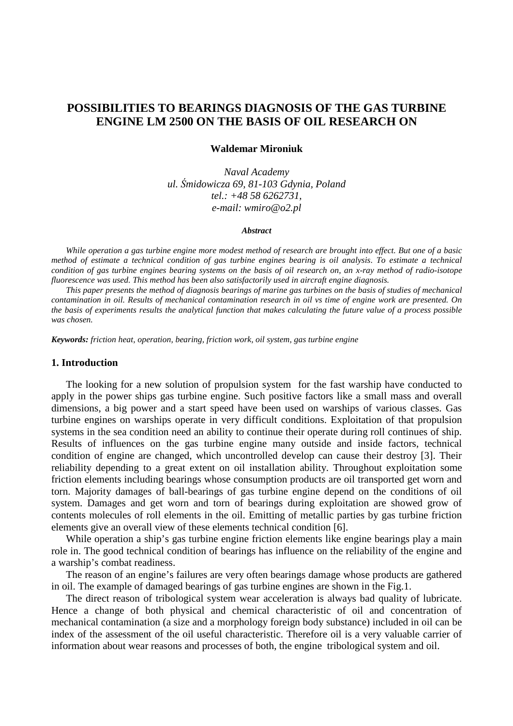# **POSSIBILITIES TO BEARINGS DIAGNOSIS OF THE GAS TURBINE ENGINE LM 2500 ON THE BASIS OF OIL RESEARCH ON**

#### **Waldemar Mironiuk**

*Naval Academy ul.* Ś*midowicza 69, 81-103 Gdynia, Poland tel.: +48 58 6262731, e-mail: wmiro@o2.pl* 

#### *Abstract*

 *While operation a gas turbine engine more modest method of research are brought into effect. But one of a basic method of estimate a technical condition of gas turbine engines bearing is oil analysis*. *To estimate a technical condition of gas turbine engines bearing systems on the basis of oil research on, an x-ray method of radio-isotope fluorescence was used. This method has been also satisfactorily used in aircraft engine diagnosis.*

 *This paper presents the method of diagnosis bearings of marine gas turbines on the basis of studies of mechanical contamination in oil. Results of mechanical contamination research in oil vs time of engine work are presented. On the basis of experiments results the analytical function that makes calculating the future value of a process possible was chosen.* 

*Keywords: friction heat, operation, bearing, friction work, oil system, gas turbine engine* 

#### **1. Introduction**

The looking for a new solution of propulsion system for the fast warship have conducted to apply in the power ships gas turbine engine. Such positive factors like a small mass and overall dimensions, a big power and a start speed have been used on warships of various classes. Gas turbine engines on warships operate in very difficult conditions. Exploitation of that propulsion systems in the sea condition need an ability to continue their operate during roll continues of ship. Results of influences on the gas turbine engine many outside and inside factors, technical condition of engine are changed, which uncontrolled develop can cause their destroy [3]. Their reliability depending to a great extent on oil installation ability. Throughout exploitation some friction elements including bearings whose consumption products are oil transported get worn and torn. Majority damages of ball-bearings of gas turbine engine depend on the conditions of oil system. Damages and get worn and torn of bearings during exploitation are showed grow of contents molecules of roll elements in the oil. Emitting of metallic parties by gas turbine friction elements give an overall view of these elements technical condition [6].

While operation a ship's gas turbine engine friction elements like engine bearings play a main role in. The good technical condition of bearings has influence on the reliability of the engine and a warship's combat readiness.

The reason of an engine's failures are very often bearings damage whose products are gathered in oil. The example of damaged bearings of gas turbine engines are shown in the Fig.1.

The direct reason of tribological system wear acceleration is always bad quality of lubricate. Hence a change of both physical and chemical characteristic of oil and concentration of mechanical contamination (a size and a morphology foreign body substance) included in oil can be index of the assessment of the oil useful characteristic. Therefore oil is a very valuable carrier of information about wear reasons and processes of both, the engine tribological system and oil.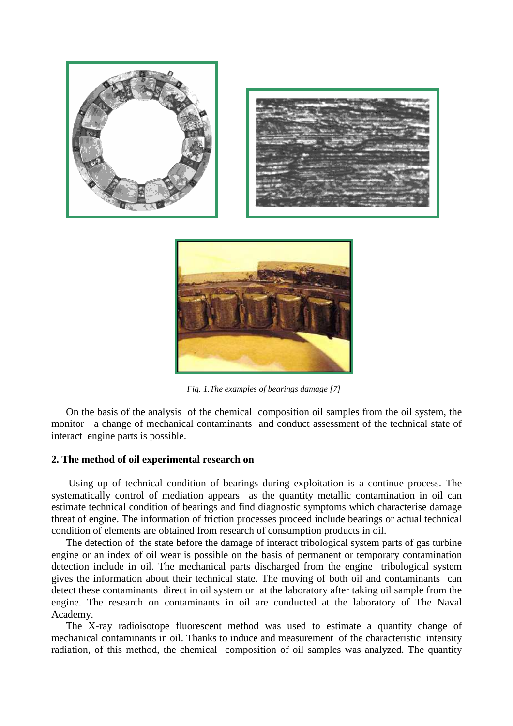

*Fig. 1.The examples of bearings damage [7]*

On the basis of the analysis of the chemical composition oil samples from the oil system, the monitor a change of mechanical contaminants and conduct assessment of the technical state of interact engine parts is possible.

### **2. The method of oil experimental research on**

 Using up of technical condition of bearings during exploitation is a continue process. The systematically control of mediation appears as the quantity metallic contamination in oil can estimate technical condition of bearings and find diagnostic symptoms which characterise damage threat of engine. The information of friction processes proceed include bearings or actual technical condition of elements are obtained from research of consumption products in oil.

The detection of the state before the damage of interact tribological system parts of gas turbine engine or an index of oil wear is possible on the basis of permanent or temporary contamination detection include in oil. The mechanical parts discharged from the engine tribological system gives the information about their technical state. The moving of both oil and contaminants can detect these contaminants direct in oil system or at the laboratory after taking oil sample from the engine. The research on contaminants in oil are conducted at the laboratory of The Naval Academy.

The X-ray radioisotope fluorescent method was used to estimate a quantity change of mechanical contaminants in oil. Thanks to induce and measurement of the characteristic intensity radiation, of this method, the chemical composition of oil samples was analyzed. The quantity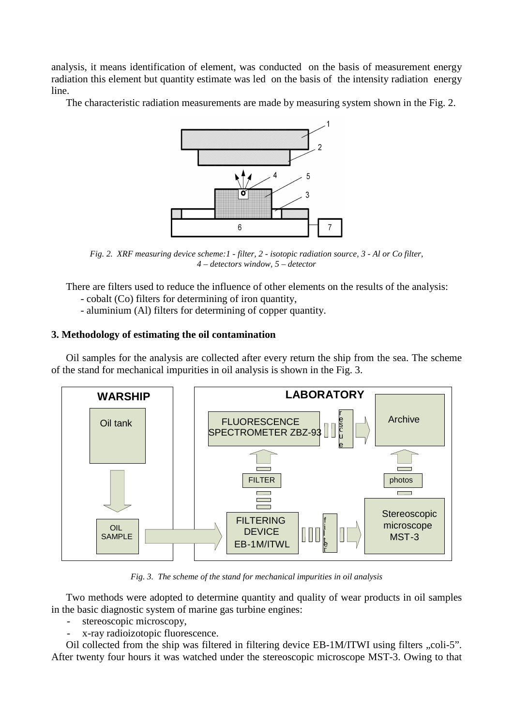analysis, it means identification of element, was conducted on the basis of measurement energy radiation this element but quantity estimate was led on the basis of the intensity radiation energy line.

The characteristic radiation measurements are made by measuring system shown in the Fig. 2.



*Fig. 2. XRF measuring device scheme:1 - filter, 2 - isotopic radiation source, 3 - Al or Co filter, 4 – detectors window, 5 – detector*

 There are filters used to reduce the influence of other elements on the results of the analysis: - cobalt (Co) filters for determining of iron quantity,

- aluminium (Al) filters for determining of copper quantity.

## **3. Methodology of estimating the oil contamination**

 Oil samples for the analysis are collected after every return the ship from the sea. The scheme of the stand for mechanical impurities in oil analysis is shown in the Fig. 3.



*Fig. 3. The scheme of the stand for mechanical impurities in oil analysis* 

 Two methods were adopted to determine quantity and quality of wear products in oil samples in the basic diagnostic system of marine gas turbine engines:

- stereoscopic microscopy,
- x-ray radioizotopic fluorescence.

Oil collected from the ship was filtered in filtering device EB-1M/ITWI using filters "coli-5". After twenty four hours it was watched under the stereoscopic microscope MST-3. Owing to that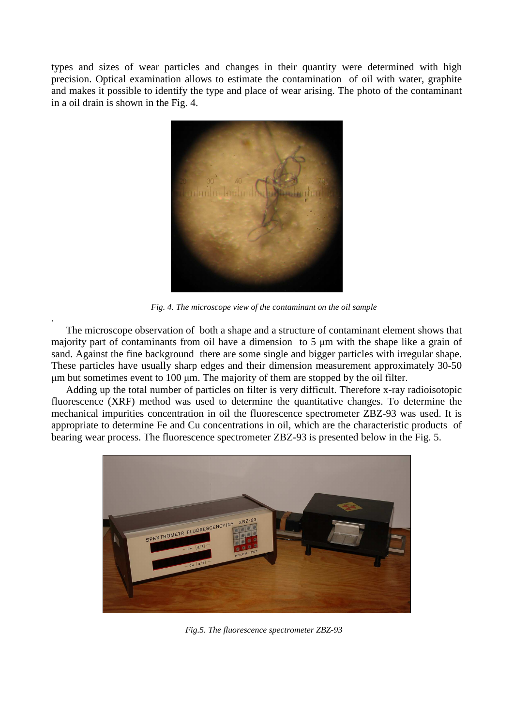types and sizes of wear particles and changes in their quantity were determined with high precision. Optical examination allows to estimate the contamination of oil with water, graphite and makes it possible to identify the type and place of wear arising. The photo of the contaminant in a oil drain is shown in the Fig. 4.



*Fig. 4. The microscope view of the contaminant on the oil sample* 

The microscope observation of both a shape and a structure of contaminant element shows that majority part of contaminants from oil have a dimension to 5  $\mu$ m with the shape like a grain of sand. Against the fine background there are some single and bigger particles with irregular shape. These particles have usually sharp edges and their dimension measurement approximately 30-50  $\mu$ m but sometimes event to 100  $\mu$ m. The majority of them are stopped by the oil filter.

.

Adding up the total number of particles on filter is very difficult. Therefore x-ray radioisotopic fluorescence (XRF) method was used to determine the quantitative changes. To determine the mechanical impurities concentration in oil the fluorescence spectrometer ZBZ-93 was used. It is appropriate to determine Fe and Cu concentrations in oil, which are the characteristic products of bearing wear process. The fluorescence spectrometer ZBZ-93 is presented below in the Fig. 5.



*Fig.5. The fluorescence spectrometer ZBZ-93*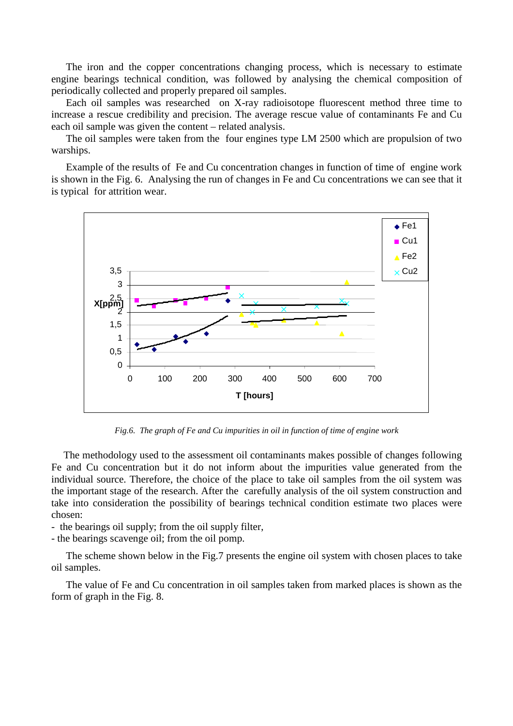The iron and the copper concentrations changing process, which is necessary to estimate engine bearings technical condition, was followed by analysing the chemical composition of periodically collected and properly prepared oil samples.

 Each oil samples was researched on X-ray radioisotope fluorescent method three time to increase a rescue credibility and precision. The average rescue value of contaminants Fe and Cu each oil sample was given the content – related analysis.

The oil samples were taken from the four engines type LM 2500 which are propulsion of two warships.

Example of the results of Fe and Cu concentration changes in function of time of engine work is shown in the Fig. 6. Analysing the run of changes in Fe and Cu concentrations we can see that it is typical for attrition wear.



*Fig.6. The graph of Fe and Cu impurities in oil in function of time of engine work* 

The methodology used to the assessment oil contaminants makes possible of changes following Fe and Cu concentration but it do not inform about the impurities value generated from the individual source. Therefore, the choice of the place to take oil samples from the oil system was the important stage of the research. After the carefully analysis of the oil system construction and take into consideration the possibility of bearings technical condition estimate two places were chosen:

- the bearings oil supply; from the oil supply filter,

- the bearings scavenge oil; from the oil pomp.

 The scheme shown below in the Fig.7 presents the engine oil system with chosen places to take oil samples.

 The value of Fe and Cu concentration in oil samples taken from marked places is shown as the form of graph in the Fig. 8.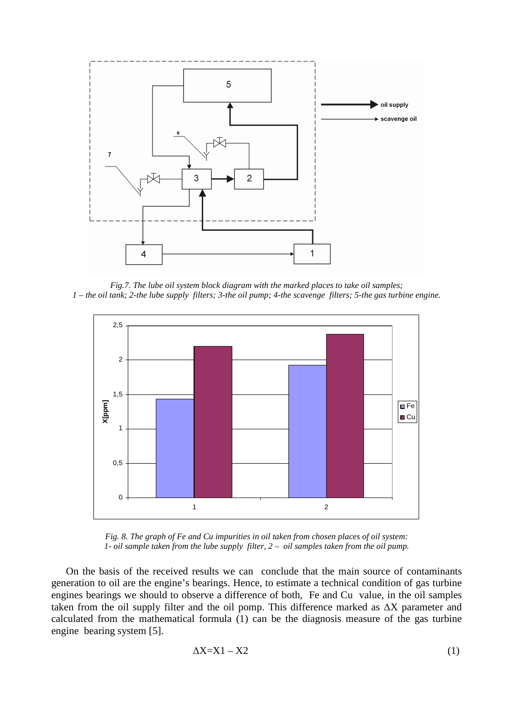

*Fig.7. The lube oil system block diagram with the marked places to take oil samples; 1 – the oil tank; 2-the lube supply filters; 3-the oil pump; 4-the scavenge filters; 5-the gas turbine engine.* 



*Fig. 8. The graph of Fe and Cu impurities in oil taken from chosen places of oil system: 1- oil sample taken from the lube supply filter, 2 – oil samples taken from the oil pump.* 

On the basis of the received results we can conclude that the main source of contaminants generation to oil are the engine's bearings. Hence, to estimate a technical condition of gas turbine engines bearings we should to observe a difference of both, Fe and Cu value, in the oil samples taken from the oil supply filter and the oil pomp. This difference marked as ∆X parameter and calculated from the mathematical formula (1) can be the diagnosis measure of the gas turbine engine bearing system [5].

$$
\Delta X = X1 - X2 \tag{1}
$$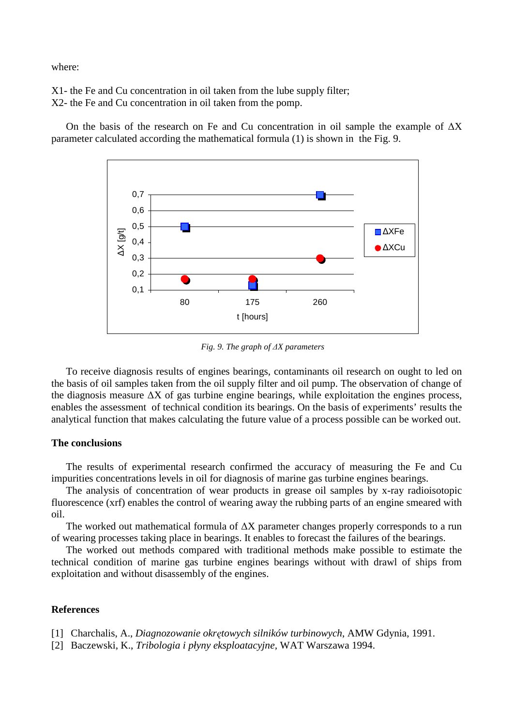where:

X1- the Fe and Cu concentration in oil taken from the lube supply filter; X2- the Fe and Cu concentration in oil taken from the pomp.

On the basis of the research on Fe and Cu concentration in oil sample the example of  $\Delta X$ parameter calculated according the mathematical formula (1) is shown in the Fig. 9.



*Fig. 9. The graph of* ∆*X parameters* 

To receive diagnosis results of engines bearings, contaminants oil research on ought to led on the basis of oil samples taken from the oil supply filter and oil pump. The observation of change of the diagnosis measure ∆X of gas turbine engine bearings, while exploitation the engines process, enables the assessment of technical condition its bearings. On the basis of experiments' results the analytical function that makes calculating the future value of a process possible can be worked out.

#### **The conclusions**

 The results of experimental research confirmed the accuracy of measuring the Fe and Cu impurities concentrations levels in oil for diagnosis of marine gas turbine engines bearings.

 The analysis of concentration of wear products in grease oil samples by x-ray radioisotopic fluorescence (xrf) enables the control of wearing away the rubbing parts of an engine smeared with oil.

 The worked out mathematical formula of ∆X parameter changes properly corresponds to a run of wearing processes taking place in bearings. It enables to forecast the failures of the bearings.

 The worked out methods compared with traditional methods make possible to estimate the technical condition of marine gas turbine engines bearings without with drawl of ships from exploitation and without disassembly of the engines.

### **References**

- [1] Charchalis, A., *Diagnozowanie okr*ę*towych silników turbinowych*, AMW Gdynia, 1991.
- [2] Baczewski, K., *Tribologia i płyny eksploatacyjne,* WAT Warszawa 1994.